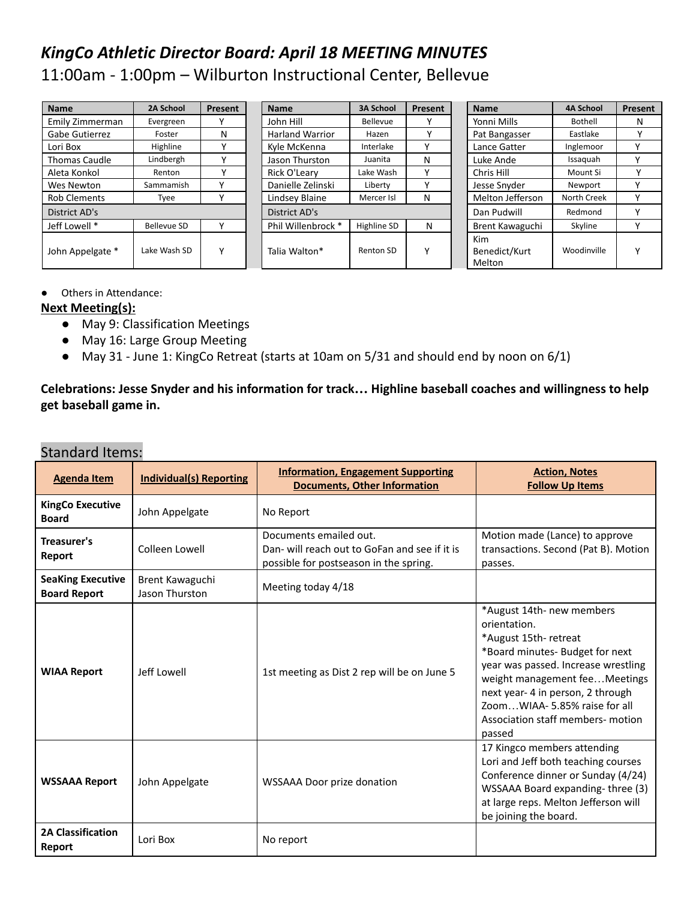# *KingCo Athletic Director Board: April 18 MEETING MINUTES* 11:00am - 1:00pm – Wilburton Instructional Center, Bellevue

| <b>Name</b>           | 2A School          | Present | <b>Name</b>            | <b>3A School</b> | Present      | <b>Name</b>                    | <b>4A School</b> | <b>Present</b> |
|-----------------------|--------------------|---------|------------------------|------------------|--------------|--------------------------------|------------------|----------------|
| Emily Zimmerman       | Evergreen          |         | John Hill              | Bellevue         |              | Yonni Mills                    | Bothell          | N              |
| <b>Gabe Gutierrez</b> | Foster             | N       | <b>Harland Warrior</b> | Hazen            |              | Pat Bangasser                  | Eastlake         |                |
| Lori Box              | Highline           | v       | Kyle McKenna           | Interlake        | $\checkmark$ | Lance Gatter                   | Inglemoor        | $\mathbf v$    |
| <b>Thomas Caudle</b>  | Lindbergh          |         | Jason Thurston         | Juanita          | N            | Luke Ande                      | Issaguah         | v              |
| Aleta Konkol          | Renton             |         | Rick O'Learv           | Lake Wash        | ٧            | Chris Hill                     | Mount Si         |                |
| Wes Newton            | Sammamish          |         | Danielle Zelinski      | Liberty          | $\checkmark$ | Jesse Snyder                   | Newport          | $\mathbf v$    |
| <b>Rob Clements</b>   | Tyee               |         | Lindsey Blaine         | Mercer Isl       | N            | Melton Jefferson               | North Creek      | v              |
| District AD's         |                    |         | District AD's          |                  |              | Dan Pudwill                    | Redmond          | $\checkmark$   |
| Jeff Lowell *         | <b>Bellevue SD</b> |         | Phil Willenbrock *     | Highline SD      | N            | Brent Kawaguchi                | Skyline          | $\checkmark$   |
| John Appelgate *      | Lake Wash SD       | v       | Talia Walton*          | Renton SD        | $\checkmark$ | Kim<br>Benedict/Kurt<br>Melton | Woodinville      | $\checkmark$   |

● Others in Attendance:

#### **Next Meeting(s):**

- May 9: Classification Meetings
- May 16: Large Group Meeting
- May 31 June 1: KingCo Retreat (starts at 10am on 5/31 and should end by noon on 6/1)

**Celebrations: Jesse Snyder and his information for track… Highline baseball coaches and willingness to help get baseball game in.**

#### Standard Items:

| <b>Agenda Item</b>                              | <b>Individual(s) Reporting</b>    | <b>Information, Engagement Supporting</b><br><b>Documents, Other Information</b>                                  | <b>Action, Notes</b><br><b>Follow Up Items</b>                                                                                                                                                                                                                                                    |
|-------------------------------------------------|-----------------------------------|-------------------------------------------------------------------------------------------------------------------|---------------------------------------------------------------------------------------------------------------------------------------------------------------------------------------------------------------------------------------------------------------------------------------------------|
| <b>KingCo Executive</b><br><b>Board</b>         | John Appelgate                    | No Report                                                                                                         |                                                                                                                                                                                                                                                                                                   |
| Treasurer's<br>Report                           | Colleen Lowell                    | Documents emailed out.<br>Dan- will reach out to GoFan and see if it is<br>possible for postseason in the spring. | Motion made (Lance) to approve<br>transactions. Second (Pat B). Motion<br>passes.                                                                                                                                                                                                                 |
| <b>SeaKing Executive</b><br><b>Board Report</b> | Brent Kawaguchi<br>Jason Thurston | Meeting today 4/18                                                                                                |                                                                                                                                                                                                                                                                                                   |
| <b>WIAA Report</b>                              | Jeff Lowell                       | 1st meeting as Dist 2 rep will be on June 5                                                                       | *August 14th- new members<br>orientation.<br>*August 15th-retreat<br>*Board minutes- Budget for next<br>year was passed. Increase wrestling<br>weight management feeMeetings<br>next year- 4 in person, 2 through<br>ZoomWIAA- 5.85% raise for all<br>Association staff members- motion<br>passed |
| <b>WSSAAA Report</b><br>John Appelgate          |                                   | <b>WSSAAA Door prize donation</b>                                                                                 | 17 Kingco members attending<br>Lori and Jeff both teaching courses<br>Conference dinner or Sunday (4/24)<br>WSSAAA Board expanding-three (3)<br>at large reps. Melton Jefferson will<br>be joining the board.                                                                                     |
| <b>2A Classification</b><br>Report              | Lori Box                          | No report                                                                                                         |                                                                                                                                                                                                                                                                                                   |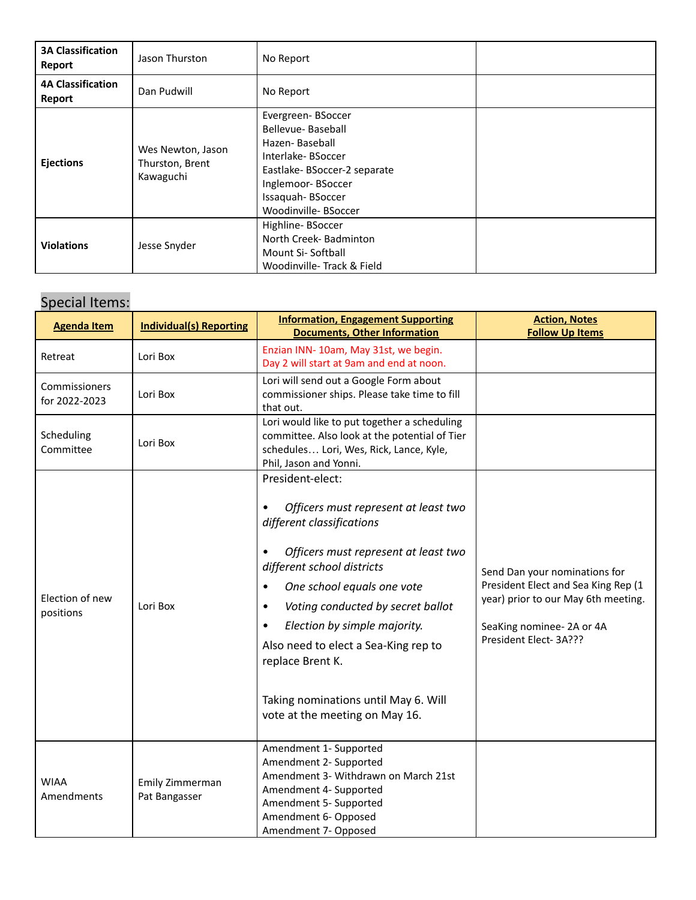| <b>3A Classification</b><br>Report | Jason Thurston                                    | No Report                                                                                                                                                                    |  |
|------------------------------------|---------------------------------------------------|------------------------------------------------------------------------------------------------------------------------------------------------------------------------------|--|
| <b>4A Classification</b><br>Report | Dan Pudwill                                       | No Report                                                                                                                                                                    |  |
| <b>Ejections</b>                   | Wes Newton, Jason<br>Thurston, Brent<br>Kawaguchi | Evergreen-BSoccer<br>Bellevue-Baseball<br>Hazen-Baseball<br>Interlake-BSoccer<br>Eastlake-BSoccer-2 separate<br>Inglemoor-BSoccer<br>Issaquah-BSoccer<br>Woodinville-BSoccer |  |
| <b>Violations</b>                  | Jesse Snyder                                      | Highline-BSoccer<br>North Creek- Badminton<br>Mount Si-Softball<br>Woodinville-Track & Field                                                                                 |  |

## Special Items:

| <b>Agenda Item</b>             | <b>Individual(s) Reporting</b>                                                                                                                                                                                                                                                                                                                                                                                                     | <b>Action, Notes</b><br><b>Follow Up Items</b>                                                                                                                                               |                                                                                                                                                                    |
|--------------------------------|------------------------------------------------------------------------------------------------------------------------------------------------------------------------------------------------------------------------------------------------------------------------------------------------------------------------------------------------------------------------------------------------------------------------------------|----------------------------------------------------------------------------------------------------------------------------------------------------------------------------------------------|--------------------------------------------------------------------------------------------------------------------------------------------------------------------|
| Retreat                        | Lori Box                                                                                                                                                                                                                                                                                                                                                                                                                           | Enzian INN-10am, May 31st, we begin.<br>Day 2 will start at 9am and end at noon.                                                                                                             |                                                                                                                                                                    |
| Commissioners<br>for 2022-2023 | Lori Box                                                                                                                                                                                                                                                                                                                                                                                                                           | Lori will send out a Google Form about<br>commissioner ships. Please take time to fill<br>that out.                                                                                          |                                                                                                                                                                    |
| Scheduling<br>Committee        | Lori Box                                                                                                                                                                                                                                                                                                                                                                                                                           | Lori would like to put together a scheduling<br>committee. Also look at the potential of Tier<br>schedules Lori, Wes, Rick, Lance, Kyle,<br>Phil, Jason and Yonni.                           |                                                                                                                                                                    |
| Election of new<br>positions   | President-elect:<br>Officers must represent at least two<br>different classifications<br>Officers must represent at least two<br>different school districts<br>One school equals one vote<br>$\bullet$<br>Lori Box<br>Voting conducted by secret ballot<br>٠<br>Election by simple majority.<br>Also need to elect a Sea-King rep to<br>replace Brent K.<br>Taking nominations until May 6. Will<br>vote at the meeting on May 16. |                                                                                                                                                                                              | Send Dan your nominations for<br>President Elect and Sea King Rep (1<br>year) prior to our May 6th meeting.<br>SeaKing nominee- 2A or 4A<br>President Elect- 3A??? |
| <b>WIAA</b><br>Amendments      | Emily Zimmerman<br>Pat Bangasser                                                                                                                                                                                                                                                                                                                                                                                                   | Amendment 1- Supported<br>Amendment 2- Supported<br>Amendment 3- Withdrawn on March 21st<br>Amendment 4- Supported<br>Amendment 5- Supported<br>Amendment 6- Opposed<br>Amendment 7- Opposed |                                                                                                                                                                    |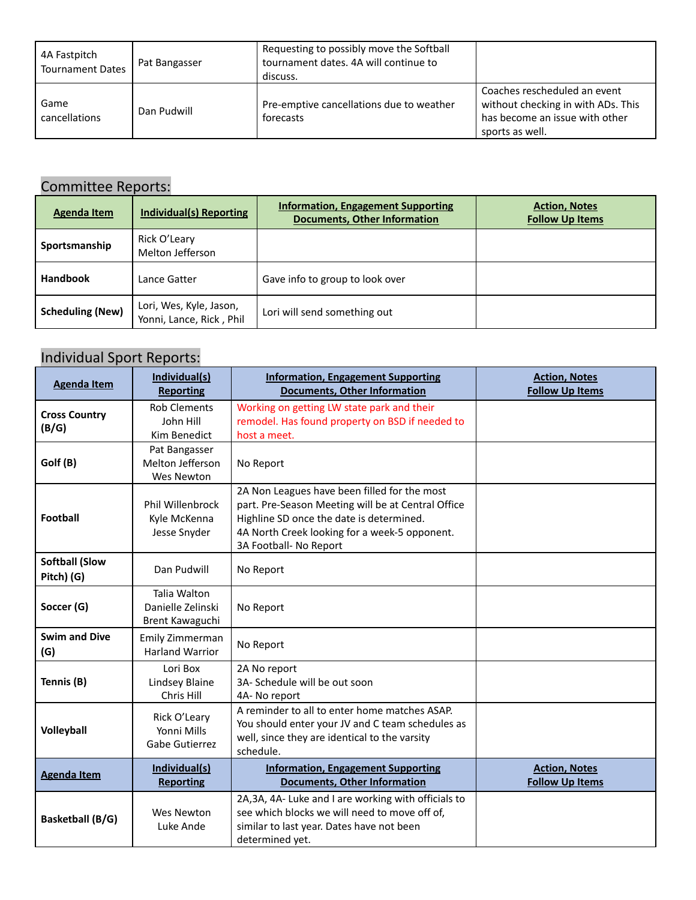| 4A Fastpitch<br><b>Tournament Dates</b> | Pat Bangasser | Requesting to possibly move the Softball<br>tournament dates. 4A will continue to<br>discuss. |                                                                                                                         |
|-----------------------------------------|---------------|-----------------------------------------------------------------------------------------------|-------------------------------------------------------------------------------------------------------------------------|
| Game<br>cancellations                   | Dan Pudwill   | Pre-emptive cancellations due to weather<br>forecasts                                         | Coaches rescheduled an event<br>without checking in with ADs. This<br>has become an issue with other<br>sports as well. |

## Committee Reports:

| <b>Agenda Item</b>      | <b>Individual(s) Reporting</b>                      | <b>Information, Engagement Supporting</b><br><b>Documents, Other Information</b> | <b>Action, Notes</b><br><b>Follow Up Items</b> |
|-------------------------|-----------------------------------------------------|----------------------------------------------------------------------------------|------------------------------------------------|
| Sportsmanship           | Rick O'Leary<br>Melton Jefferson                    |                                                                                  |                                                |
| <b>Handbook</b>         | Lance Gatter                                        | Gave info to group to look over                                                  |                                                |
| <b>Scheduling (New)</b> | Lori, Wes, Kyle, Jason,<br>Yonni, Lance, Rick, Phil | Lori will send something out                                                     |                                                |

## Individual Sport Reports:

| <b>Agenda Item</b>                  | Individual(s)<br><b>Reporting</b>                       | <b>Information, Engagement Supporting</b><br><b>Documents, Other Information</b>                                                                                                                                          | <b>Action, Notes</b><br><b>Follow Up Items</b> |
|-------------------------------------|---------------------------------------------------------|---------------------------------------------------------------------------------------------------------------------------------------------------------------------------------------------------------------------------|------------------------------------------------|
| <b>Cross Country</b><br>(B/G)       | <b>Rob Clements</b><br>John Hill<br>Kim Benedict        | Working on getting LW state park and their<br>remodel. Has found property on BSD if needed to<br>host a meet.                                                                                                             |                                                |
| Golf (B)                            | Pat Bangasser<br>Melton Jefferson<br><b>Wes Newton</b>  | No Report                                                                                                                                                                                                                 |                                                |
| Football                            | <b>Phil Willenbrock</b><br>Kyle McKenna<br>Jesse Snyder | 2A Non Leagues have been filled for the most<br>part. Pre-Season Meeting will be at Central Office<br>Highline SD once the date is determined.<br>4A North Creek looking for a week-5 opponent.<br>3A Football- No Report |                                                |
| <b>Softball (Slow</b><br>Pitch) (G) | Dan Pudwill                                             | No Report                                                                                                                                                                                                                 |                                                |
| Soccer (G)                          | Talia Walton<br>Danielle Zelinski<br>Brent Kawaguchi    | No Report                                                                                                                                                                                                                 |                                                |
| <b>Swim and Dive</b><br>(G)         | Emily Zimmerman<br><b>Harland Warrior</b>               | No Report                                                                                                                                                                                                                 |                                                |
| Tennis (B)                          | Lori Box<br>Lindsey Blaine<br>Chris Hill                | 2A No report<br>3A- Schedule will be out soon<br>4A-No report                                                                                                                                                             |                                                |
| <b>Volleyball</b>                   | Rick O'Leary<br>Yonni Mills<br><b>Gabe Gutierrez</b>    | A reminder to all to enter home matches ASAP.<br>You should enter your JV and C team schedules as<br>well, since they are identical to the varsity<br>schedule.                                                           |                                                |
| <b>Agenda Item</b>                  | Individual(s)<br><b>Reporting</b>                       | <b>Information, Engagement Supporting</b><br><b>Documents, Other Information</b>                                                                                                                                          | <b>Action, Notes</b><br><b>Follow Up Items</b> |
| <b>Basketball (B/G)</b>             | <b>Wes Newton</b><br>Luke Ande                          | 2A, 3A, 4A- Luke and I are working with officials to<br>see which blocks we will need to move off of,<br>similar to last year. Dates have not been<br>determined yet.                                                     |                                                |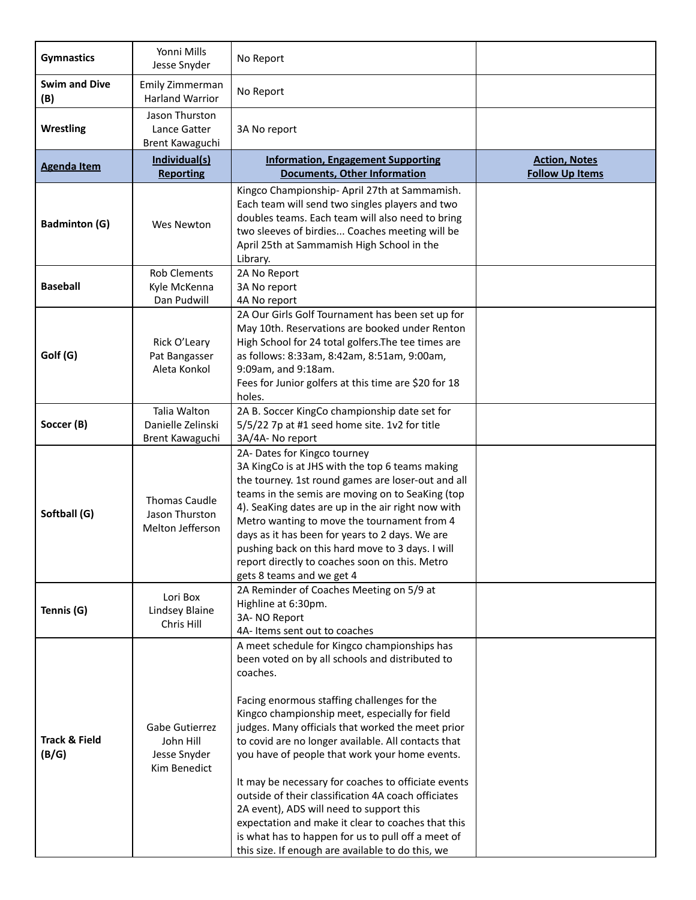| <b>Gymnastics</b>                 | Yonni Mills<br>Jesse Snyder                                 | No Report                                                                                                                                                                                                                                                                                                                                                                                                                                                                                                                                                                                                                                                                                             |                                                |
|-----------------------------------|-------------------------------------------------------------|-------------------------------------------------------------------------------------------------------------------------------------------------------------------------------------------------------------------------------------------------------------------------------------------------------------------------------------------------------------------------------------------------------------------------------------------------------------------------------------------------------------------------------------------------------------------------------------------------------------------------------------------------------------------------------------------------------|------------------------------------------------|
| <b>Swim and Dive</b><br>(B)       | Emily Zimmerman<br><b>Harland Warrior</b>                   | No Report                                                                                                                                                                                                                                                                                                                                                                                                                                                                                                                                                                                                                                                                                             |                                                |
| <b>Wrestling</b>                  | Jason Thurston<br>Lance Gatter<br>Brent Kawaguchi           | 3A No report                                                                                                                                                                                                                                                                                                                                                                                                                                                                                                                                                                                                                                                                                          |                                                |
| <b>Agenda Item</b>                | Individual(s)<br><b>Reporting</b>                           | <b>Information, Engagement Supporting</b><br><b>Documents, Other Information</b>                                                                                                                                                                                                                                                                                                                                                                                                                                                                                                                                                                                                                      | <b>Action, Notes</b><br><b>Follow Up Items</b> |
| <b>Badminton (G)</b>              | <b>Wes Newton</b>                                           | Kingco Championship- April 27th at Sammamish.<br>Each team will send two singles players and two<br>doubles teams. Each team will also need to bring<br>two sleeves of birdies Coaches meeting will be<br>April 25th at Sammamish High School in the<br>Library.                                                                                                                                                                                                                                                                                                                                                                                                                                      |                                                |
| <b>Baseball</b>                   | <b>Rob Clements</b><br>Kyle McKenna<br>Dan Pudwill          | 2A No Report<br>3A No report<br>4A No report                                                                                                                                                                                                                                                                                                                                                                                                                                                                                                                                                                                                                                                          |                                                |
| Golf (G)                          | Rick O'Leary<br>Pat Bangasser<br>Aleta Konkol               | 2A Our Girls Golf Tournament has been set up for<br>May 10th. Reservations are booked under Renton<br>High School for 24 total golfers. The tee times are<br>as follows: 8:33am, 8:42am, 8:51am, 9:00am,<br>9:09am, and 9:18am.<br>Fees for Junior golfers at this time are \$20 for 18<br>holes.                                                                                                                                                                                                                                                                                                                                                                                                     |                                                |
| Soccer (B)                        | Talia Walton<br>Danielle Zelinski<br>Brent Kawaguchi        | 2A B. Soccer KingCo championship date set for<br>5/5/22 7p at #1 seed home site. 1v2 for title<br>3A/4A- No report                                                                                                                                                                                                                                                                                                                                                                                                                                                                                                                                                                                    |                                                |
| Softball (G)                      | <b>Thomas Caudle</b><br>Jason Thurston<br>Melton Jefferson  | 2A-Dates for Kingco tourney<br>3A KingCo is at JHS with the top 6 teams making<br>the tourney. 1st round games are loser-out and all<br>teams in the semis are moving on to SeaKing (top<br>4). SeaKing dates are up in the air right now with<br>Metro wanting to move the tournament from 4<br>days as it has been for years to 2 days. We are<br>pushing back on this hard move to 3 days. I will<br>report directly to coaches soon on this. Metro<br>gets 8 teams and we get 4                                                                                                                                                                                                                   |                                                |
| Tennis (G)                        | Lori Box<br>Lindsey Blaine<br>Chris Hill                    | 2A Reminder of Coaches Meeting on 5/9 at<br>Highline at 6:30pm.<br>3A-NO Report<br>4A- Items sent out to coaches                                                                                                                                                                                                                                                                                                                                                                                                                                                                                                                                                                                      |                                                |
| <b>Track &amp; Field</b><br>(B/G) | Gabe Gutierrez<br>John Hill<br>Jesse Snyder<br>Kim Benedict | A meet schedule for Kingco championships has<br>been voted on by all schools and distributed to<br>coaches.<br>Facing enormous staffing challenges for the<br>Kingco championship meet, especially for field<br>judges. Many officials that worked the meet prior<br>to covid are no longer available. All contacts that<br>you have of people that work your home events.<br>It may be necessary for coaches to officiate events<br>outside of their classification 4A coach officiates<br>2A event), ADS will need to support this<br>expectation and make it clear to coaches that this<br>is what has to happen for us to pull off a meet of<br>this size. If enough are available to do this, we |                                                |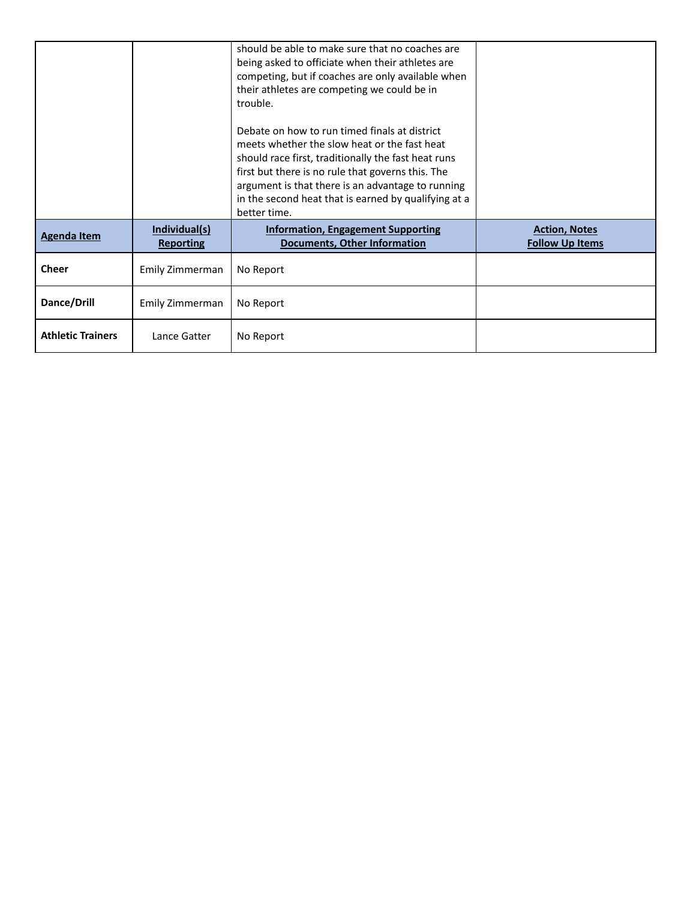|                          |                                   | should be able to make sure that no coaches are<br>being asked to officiate when their athletes are<br>competing, but if coaches are only available when<br>their athletes are competing we could be in<br>trouble.                                                                                                                    |                                                |
|--------------------------|-----------------------------------|----------------------------------------------------------------------------------------------------------------------------------------------------------------------------------------------------------------------------------------------------------------------------------------------------------------------------------------|------------------------------------------------|
|                          |                                   | Debate on how to run timed finals at district<br>meets whether the slow heat or the fast heat<br>should race first, traditionally the fast heat runs<br>first but there is no rule that governs this. The<br>argument is that there is an advantage to running<br>in the second heat that is earned by qualifying at a<br>better time. |                                                |
| <b>Agenda Item</b>       | Individual(s)<br><b>Reporting</b> | <b>Information, Engagement Supporting</b><br><b>Documents, Other Information</b>                                                                                                                                                                                                                                                       | <b>Action, Notes</b><br><b>Follow Up Items</b> |
| <b>Cheer</b>             | Emily Zimmerman                   | No Report                                                                                                                                                                                                                                                                                                                              |                                                |
| Dance/Drill              | Emily Zimmerman                   | No Report                                                                                                                                                                                                                                                                                                                              |                                                |
| <b>Athletic Trainers</b> | Lance Gatter                      | No Report                                                                                                                                                                                                                                                                                                                              |                                                |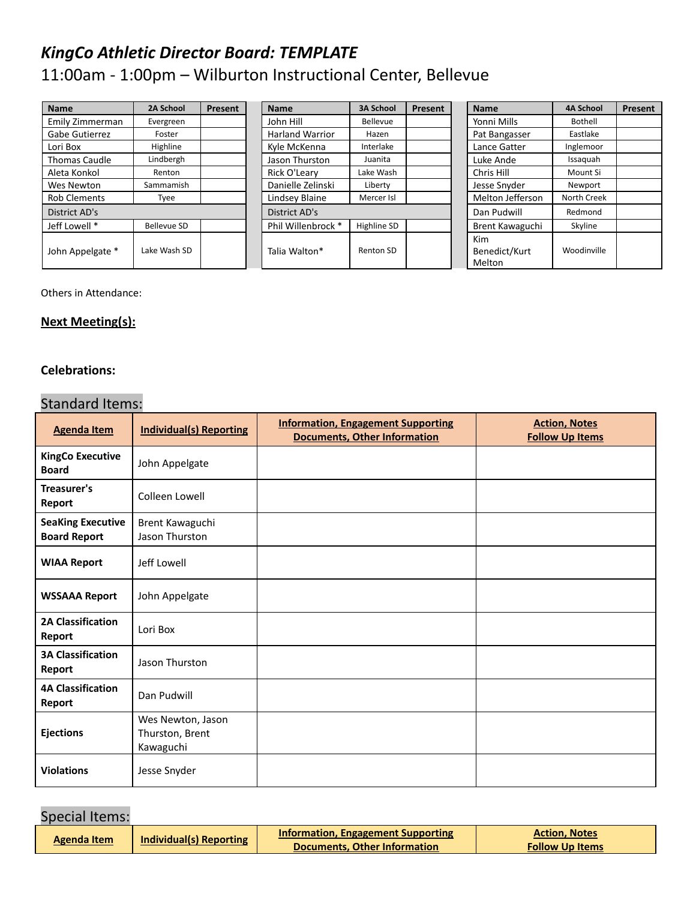# *KingCo Athletic Director Board: TEMPLATE*

# 11:00am - 1:00pm – Wilburton Instructional Center, Bellevue

| <b>Name</b>          | 2A School          | Present | <b>Name</b>            | <b>3A School</b> | Present | <b>Name</b>                           | <b>4A School</b> | Present |
|----------------------|--------------------|---------|------------------------|------------------|---------|---------------------------------------|------------------|---------|
| Emily Zimmerman      | Evergreen          |         | John Hill              | <b>Bellevue</b>  |         | Yonni Mills                           | Bothell          |         |
| Gabe Gutierrez       | Foster             |         | <b>Harland Warrior</b> | Hazen            |         | Pat Bangasser                         | Eastlake         |         |
| Lori Box             | Highline           |         | Kyle McKenna           | Interlake        |         | Lance Gatter                          | Inglemoor        |         |
| <b>Thomas Caudle</b> | Lindbergh          |         | Jason Thurston         | Juanita          |         | Luke Ande                             | Issaguah         |         |
| Aleta Konkol         | Renton             |         | Rick O'Learv           | Lake Wash        |         | Chris Hill                            | Mount Si         |         |
| Wes Newton           | Sammamish          |         | Danielle Zelinski      | Liberty          |         | Jesse Snyder                          | Newport          |         |
| <b>Rob Clements</b>  | Tyee               |         | Lindsey Blaine         | Mercer Isl       |         | Melton Jefferson                      | North Creek      |         |
| District AD's        |                    |         | District AD's          |                  |         | Dan Pudwill                           | Redmond          |         |
| Jeff Lowell *        | <b>Bellevue SD</b> |         | Phil Willenbrock *     | Highline SD      |         | Brent Kawaguchi                       | Skyline          |         |
| John Appelgate *     | Lake Wash SD       |         | Talia Walton*          | Renton SD        |         | <b>Kim</b><br>Benedict/Kurt<br>Melton | Woodinville      |         |

Others in Attendance:

#### **Next Meeting(s):**

#### **Celebrations:**

### Standard Items:

| <b>Agenda Item</b>                              | <b>Individual(s) Reporting</b>                    | <b>Information, Engagement Supporting</b><br><b>Documents, Other Information</b> | <b>Action, Notes</b><br><b>Follow Up Items</b> |
|-------------------------------------------------|---------------------------------------------------|----------------------------------------------------------------------------------|------------------------------------------------|
| <b>KingCo Executive</b><br><b>Board</b>         | John Appelgate                                    |                                                                                  |                                                |
| <b>Treasurer's</b><br>Report                    | Colleen Lowell                                    |                                                                                  |                                                |
| <b>SeaKing Executive</b><br><b>Board Report</b> | Brent Kawaguchi<br>Jason Thurston                 |                                                                                  |                                                |
| <b>WIAA Report</b>                              | Jeff Lowell                                       |                                                                                  |                                                |
| <b>WSSAAA Report</b>                            | John Appelgate                                    |                                                                                  |                                                |
| <b>2A Classification</b><br>Report              | Lori Box                                          |                                                                                  |                                                |
| <b>3A Classification</b><br>Report              | Jason Thurston                                    |                                                                                  |                                                |
| <b>4A Classification</b><br>Report              | Dan Pudwill                                       |                                                                                  |                                                |
| <b>Ejections</b>                                | Wes Newton, Jason<br>Thurston, Brent<br>Kawaguchi |                                                                                  |                                                |
| <b>Violations</b>                               | Jesse Snyder                                      |                                                                                  |                                                |

### Special Items:

| Agenda Item | Individual(s) Reporting | <b>Information, Engagement Supporting</b> | <b>Action. Notes</b>   |  |
|-------------|-------------------------|-------------------------------------------|------------------------|--|
|             |                         | Documents. Other Information              | <b>Follow Up Items</b> |  |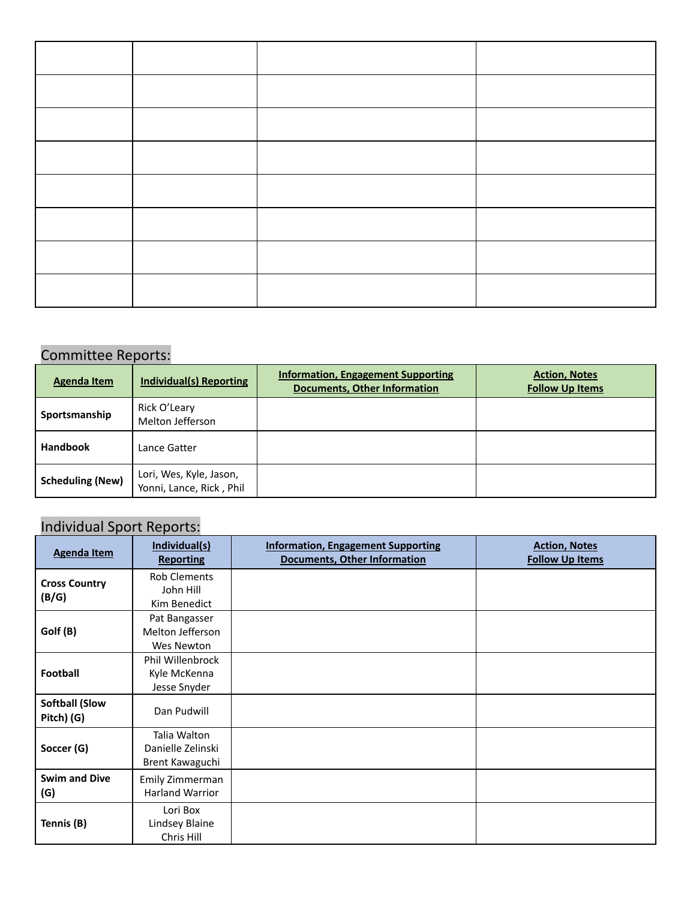### Committee Reports:

| <b>Agenda Item</b>      | <b>Individual(s) Reporting</b>                      | <b>Information, Engagement Supporting</b><br><b>Documents, Other Information</b> | <b>Action, Notes</b><br><b>Follow Up Items</b> |
|-------------------------|-----------------------------------------------------|----------------------------------------------------------------------------------|------------------------------------------------|
| Sportsmanship           | Rick O'Leary<br>Melton Jefferson                    |                                                                                  |                                                |
| <b>Handbook</b>         | Lance Gatter                                        |                                                                                  |                                                |
| <b>Scheduling (New)</b> | Lori, Wes, Kyle, Jason,<br>Yonni, Lance, Rick, Phil |                                                                                  |                                                |

## Individual Sport Reports:

| <b>Agenda Item</b>                  | Individual(s)<br><b>Reporting</b>                       | <b>Information, Engagement Supporting</b><br><b>Documents, Other Information</b> | <b>Action, Notes</b><br><b>Follow Up Items</b> |
|-------------------------------------|---------------------------------------------------------|----------------------------------------------------------------------------------|------------------------------------------------|
| <b>Cross Country</b><br>(B/G)       | <b>Rob Clements</b><br>John Hill<br>Kim Benedict        |                                                                                  |                                                |
| Golf (B)                            | Pat Bangasser<br>Melton Jefferson<br>Wes Newton         |                                                                                  |                                                |
| <b>Football</b>                     | <b>Phil Willenbrock</b><br>Kyle McKenna<br>Jesse Snyder |                                                                                  |                                                |
| <b>Softball (Slow</b><br>Pitch) (G) | Dan Pudwill                                             |                                                                                  |                                                |
| Soccer (G)                          | Talia Walton<br>Danielle Zelinski<br>Brent Kawaguchi    |                                                                                  |                                                |
| <b>Swim and Dive</b><br>(G)         | Emily Zimmerman<br><b>Harland Warrior</b>               |                                                                                  |                                                |
| Tennis (B)                          | Lori Box<br>Lindsey Blaine<br>Chris Hill                |                                                                                  |                                                |